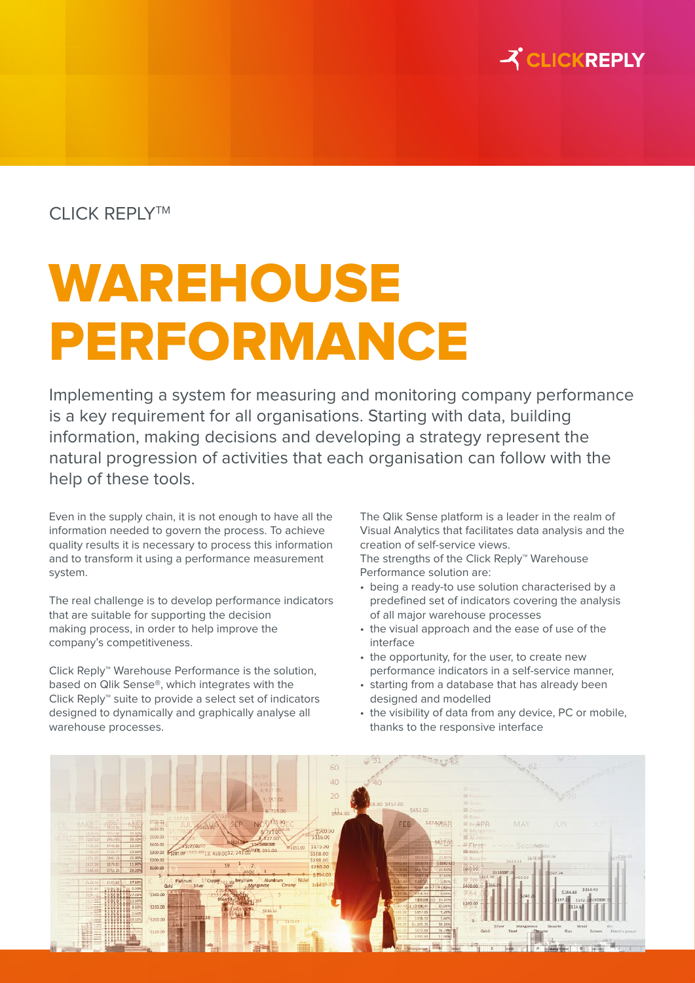

## CLICK REPLY<sup>TM</sup>

## WAREHOUSE PERFORMANCE

Implementing a system for measuring and monitoring company performance is a key requirement for all organisations. Starting with data, building information, making decisions and developing a strategy represent the natural progression of activities that each organisation can follow with the help of these tools.

Even in the supply chain, it is not enough to have all the information needed to govern the process. To achieve quality results it is necessary to process this information and to transform it using a performance measurement system.

The real challenge is to develop performance indicators that are suitable for supporting the decision making process, in order to help improve the company's competitiveness.

Click Reply™ Warehouse Performance is the solution, based on Qlik Sense®, which integrates with the Click Reply™ suite to provide a select set of indicators designed to dynamically and graphically analyse all warehouse processes.

The Qlik Sense platform is a leader in the realm of Visual Analytics that facilitates data analysis and the creation of self-service views.

The strengths of the Click Reply™ Warehouse Performance solution are:

- being a ready-to use solution characterised by a predefined set of indicators covering the analysis of all major warehouse processes
- the visual approach and the ease of use of the interface
- the opportunity, for the user, to create new performance indicators in a self-service manner,
- starting from a database that has already been designed and modelled
- the visibility of data from any device, PC or mobile, thanks to the responsive interface